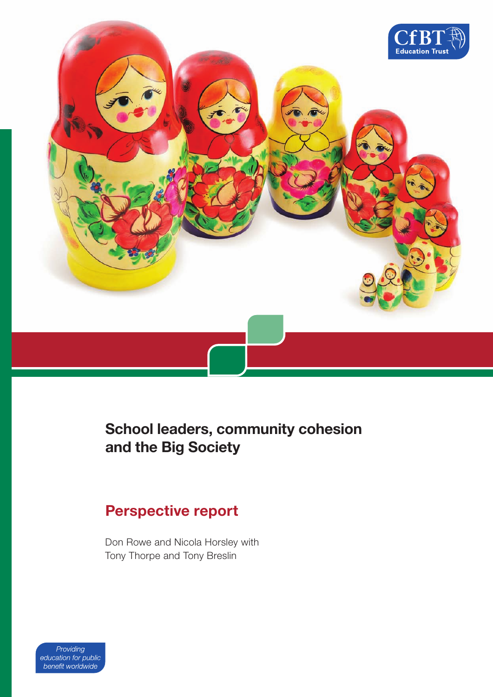

# **School leaders, community cohesion and the Big Society**

### **Perspective report**

Don Rowe and Nicola Horsley with Tony Thorpe and Tony Breslin

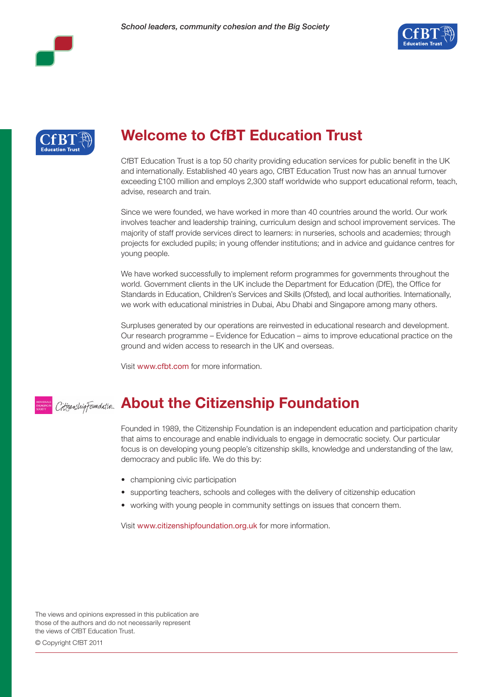





# **Welcome to CfBT Education Trust**

CfBT Education Trust is a top 50 charity providing education services for public benefit in the UK and internationally. Established 40 years ago, CfBT Education Trust now has an annual turnover exceeding £100 million and employs 2,300 staff worldwide who support educational reform, teach, advise, research and train.

Since we were founded, we have worked in more than 40 countries around the world. Our work involves teacher and leadership training, curriculum design and school improvement services. The majority of staff provide services direct to learners: in nurseries, schools and academies; through projects for excluded pupils; in young offender institutions; and in advice and guidance centres for young people.

We have worked successfully to implement reform programmes for governments throughout the world. Government clients in the UK include the Department for Education (DfE), the Office for Standards in Education, Children's Services and Skills (Ofsted), and local authorities. Internationally, we work with educational ministries in Dubai, Abu Dhabi and Singapore among many others.

Surpluses generated by our operations are reinvested in educational research and development. Our research programme – Evidence for Education – aims to improve educational practice on the ground and widen access to research in the UK and overseas.

Visit www.cfbt.com for more information.

### **About the Citizenship Foundation**

Founded in 1989, the Citizenship Foundation is an independent education and participation charity that aims to encourage and enable individuals to engage in democratic society. Our particular focus is on developing young people's citizenship skills, knowledge and understanding of the law, democracy and public life. We do this by:

- championing civic participation
- supporting teachers, schools and colleges with the delivery of citizenship education
- working with young people in community settings on issues that concern them.

Visit www.citizenshipfoundation.org.uk for more information.

The views and opinions expressed in this publication are those of the authors and do not necessarily represent the views of CfBT Education Trust.

© Copyright CfBT 2011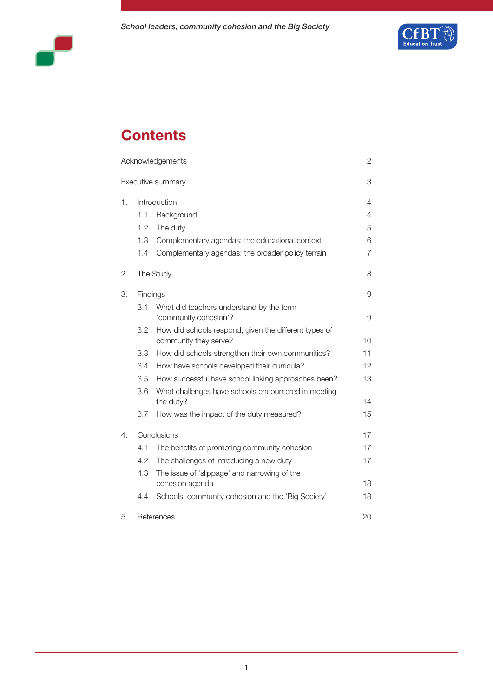



# **Contents**

|    |              | Acknowledgements                                                               | 2  |
|----|--------------|--------------------------------------------------------------------------------|----|
|    |              | Executive summary                                                              | 3  |
| 1. | Introduction |                                                                                | 4  |
|    | 1.1          | Background                                                                     | 4  |
|    | 1.2          | The duty                                                                       | 5  |
|    | 1.3          | Complementary agendas: the educational context                                 | 6  |
|    | 1.4          | Complementary agendas: the broader policy terrain                              | 7  |
| 2. |              | The Study                                                                      | 8  |
| З. | Findings     |                                                                                | 9  |
|    | 3.1          | What did teachers understand by the term<br>'community cohesion'?              | 9  |
|    | 3.2          | How did schools respond, given the different types of<br>community they serve? | 10 |
|    | 3.3          | How did schools strengthen their own communities?                              | 11 |
|    | 3.4          | How have schools developed their curricula?                                    | 12 |
|    | 3.5          | How successful have school linking approaches been?                            | 13 |
|    | 3.6          | What challenges have schools encountered in meeting<br>the duty?               | 14 |
|    | 3.7          | How was the impact of the duty measured?                                       | 15 |
| 4. | Conclusions  |                                                                                | 17 |
|    | 4.1          | The benefits of promoting community cohesion                                   | 17 |
|    | 4.2          | The challenges of introducing a new duty                                       | 17 |
|    | 4.3          | The issue of 'slippage' and narrowing of the<br>cohesion agenda                | 18 |
|    | 4.4          | Schools, community cohesion and the 'Big Society'                              | 18 |
| 5. | References   |                                                                                | 20 |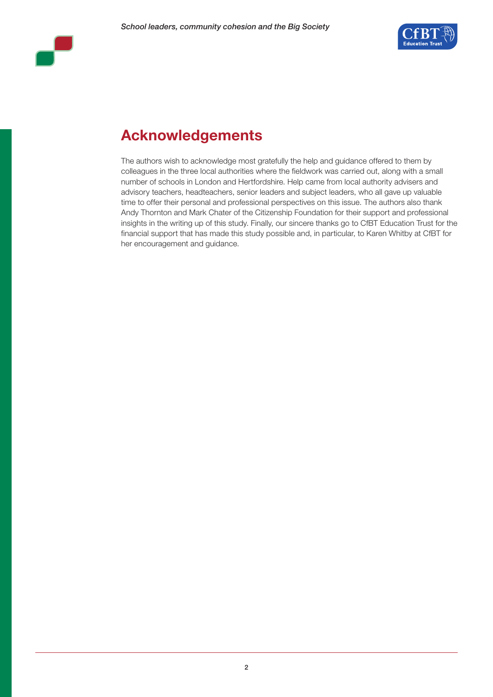



# **Acknowledgements**

The authors wish to acknowledge most gratefully the help and guidance offered to them by colleagues in the three local authorities where the fieldwork was carried out, along with a small number of schools in London and Hertfordshire. Help came from local authority advisers and advisory teachers, headteachers, senior leaders and subject leaders, who all gave up valuable time to offer their personal and professional perspectives on this issue. The authors also thank Andy Thornton and Mark Chater of the Citizenship Foundation for their support and professional insights in the writing up of this study. Finally, our sincere thanks go to CfBT Education Trust for the financial support that has made this study possible and, in particular, to Karen Whitby at CfBT for her encouragement and guidance.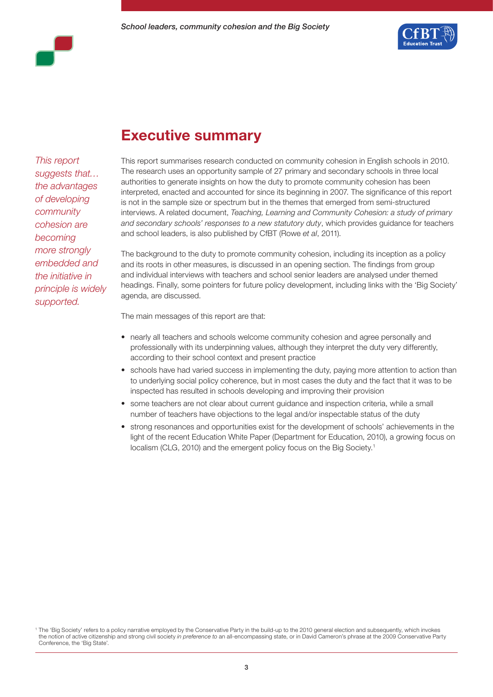

*This report suggests that… the advantages of developing community cohesion are becoming more strongly embedded and the initiative in principle is widely supported.*

### **Executive summary**

This report summarises research conducted on community cohesion in English schools in 2010. The research uses an opportunity sample of 27 primary and secondary schools in three local authorities to generate insights on how the duty to promote community cohesion has been interpreted, enacted and accounted for since its beginning in 2007. The significance of this report is not in the sample size or spectrum but in the themes that emerged from semi-structured interviews. A related document, *Teaching, Learning and Community Cohesion: a study of primary and secondary schools' responses to a new statutory duty*, which provides guidance for teachers and school leaders, is also published by CfBT (Rowe *et al*, 2011).

The background to the duty to promote community cohesion, including its inception as a policy and its roots in other measures, is discussed in an opening section. The findings from group and individual interviews with teachers and school senior leaders are analysed under themed headings. Finally, some pointers for future policy development, including links with the 'Big Society' agenda, are discussed.

The main messages of this report are that:

- nearly all teachers and schools welcome community cohesion and agree personally and professionally with its underpinning values, although they interpret the duty very differently, according to their school context and present practice
- schools have had varied success in implementing the duty, paying more attention to action than to underlying social policy coherence, but in most cases the duty and the fact that it was to be inspected has resulted in schools developing and improving their provision
- some teachers are not clear about current guidance and inspection criteria, while a small number of teachers have objections to the legal and/or inspectable status of the duty
- strong resonances and opportunities exist for the development of schools' achievements in the light of the recent Education White Paper (Department for Education, 2010), a growing focus on localism (CLG, 2010) and the emergent policy focus on the Big Society.<sup>1</sup>

<sup>1</sup> The 'Big Society' refers to a policy narrative employed by the Conservative Party in the build-up to the 2010 general election and subsequently, which invokes the notion of active citizenship and strong civil society *in preference to* an all-encompassing state, or in David Cameron's phrase at the 2009 Conservative Party Conference, the 'Big State'.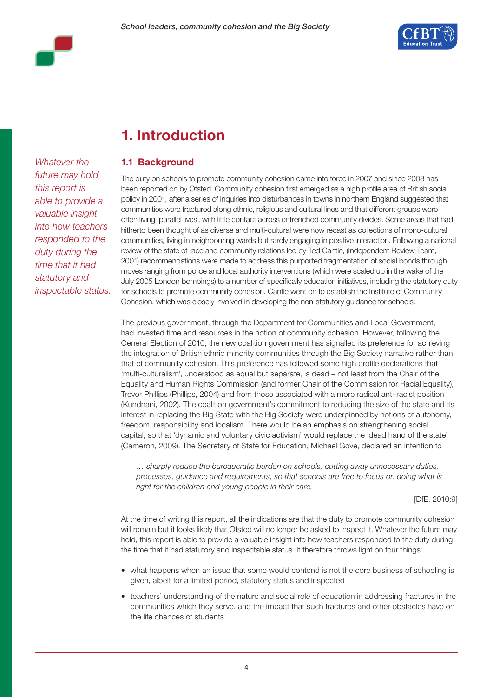



# **1. Introduction**

#### **1.1 Background**

*Whatever the future may hold, this report is able to provide a valuable insight into how teachers responded to the duty during the time that it had statutory and inspectable status.*

The duty on schools to promote community cohesion came into force in 2007 and since 2008 has been reported on by Ofsted. Community cohesion first emerged as a high profile area of British social policy in 2001, after a series of inquiries into disturbances in towns in northern England suggested that communities were fractured along ethnic, religious and cultural lines and that different groups were often living 'parallel lives', with little contact across entrenched community divides. Some areas that had hitherto been thought of as diverse and multi-cultural were now recast as collections of mono-cultural communities, living in neighbouring wards but rarely engaging in positive interaction. Following a national review of the state of race and community relations led by Ted Cantle, (Independent Review Team, 2001) recommendations were made to address this purported fragmentation of social bonds through moves ranging from police and local authority interventions (which were scaled up in the wake of the July 2005 London bombings) to a number of specifically education initiatives, including the statutory duty for schools to promote community cohesion. Cantle went on to establish the Institute of Community Cohesion, which was closely involved in developing the non-statutory guidance for schools.

The previous government, through the Department for Communities and Local Government, had invested time and resources in the notion of community cohesion. However, following the General Election of 2010, the new coalition government has signalled its preference for achieving the integration of British ethnic minority communities through the Big Society narrative rather than that of community cohesion. This preference has followed some high profile declarations that 'multi-culturalism', understood as equal but separate, is dead – not least from the Chair of the Equality and Human Rights Commission (and former Chair of the Commission for Racial Equality), Trevor Phillips (Phillips, 2004) and from those associated with a more radical anti-racist position (Kundnani, 2002). The coalition government's commitment to reducing the size of the state and its interest in replacing the Big State with the Big Society were underpinned by notions of autonomy, freedom, responsibility and localism. There would be an emphasis on strengthening social capital, so that 'dynamic and voluntary civic activism' would replace the 'dead hand of the state' (Cameron, 2009). The Secretary of State for Education, Michael Gove, declared an intention to

*… sharply reduce the bureaucratic burden on schools, cutting away unnecessary duties, processes, guidance and requirements, so that schools are free to focus on doing what is right for the children and young people in their care.*

[DfE, 2010:9]

At the time of writing this report, all the indications are that the duty to promote community cohesion will remain but it looks likely that Ofsted will no longer be asked to inspect it. Whatever the future may hold, this report is able to provide a valuable insight into how teachers responded to the duty during the time that it had statutory and inspectable status. It therefore throws light on four things:

- what happens when an issue that some would contend is not the core business of schooling is given, albeit for a limited period, statutory status and inspected
- teachers' understanding of the nature and social role of education in addressing fractures in the communities which they serve, and the impact that such fractures and other obstacles have on the life chances of students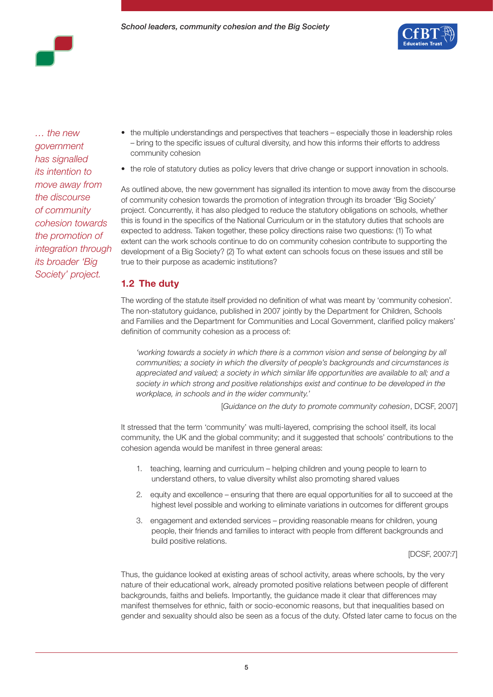

*… the new government has signalled its intention to move away from the discourse of community cohesion towards the promotion of integration through its broader 'Big Society' project.*

- the multiple understandings and perspectives that teachers especially those in leadership roles – bring to the specific issues of cultural diversity, and how this informs their efforts to address community cohesion
- the role of statutory duties as policy levers that drive change or support innovation in schools.

As outlined above, the new government has signalled its intention to move away from the discourse of community cohesion towards the promotion of integration through its broader 'Big Society' project. Concurrently, it has also pledged to reduce the statutory obligations on schools, whether this is found in the specifics of the National Curriculum or in the statutory duties that schools are expected to address. Taken together, these policy directions raise two questions: (1) To what extent can the work schools continue to do on community cohesion contribute to supporting the development of a Big Society? (2) To what extent can schools focus on these issues and still be true to their purpose as academic institutions?

### **1.2 The duty**

The wording of the statute itself provided no definition of what was meant by 'community cohesion'. The non-statutory guidance, published in 2007 jointly by the Department for Children, Schools and Families and the Department for Communities and Local Government, clarified policy makers' definition of community cohesion as a process of:

'working towards a society in which there is a common vision and sense of belonging by all *communities; a society in which the diversity of people's backgrounds and circumstances is appreciated and valued; a society in which similar life opportunities are available to all; and a society in which strong and positive relationships exist and continue to be developed in the workplace, in schools and in the wider community.'*

[*Guidance on the duty to promote community cohesion*, DCSF, 2007]

It stressed that the term 'community' was multi-layered, comprising the school itself, its local community, the UK and the global community; and it suggested that schools' contributions to the cohesion agenda would be manifest in three general areas:

- 1. teaching, learning and curriculum helping children and young people to learn to understand others, to value diversity whilst also promoting shared values
- 2. equity and excellence ensuring that there are equal opportunities for all to succeed at the highest level possible and working to eliminate variations in outcomes for different groups
- 3. engagement and extended services providing reasonable means for children, young people, their friends and families to interact with people from different backgrounds and build positive relations.

[DCSF, 2007:7]

Thus, the guidance looked at existing areas of school activity, areas where schools, by the very nature of their educational work, already promoted positive relations between people of different backgrounds, faiths and beliefs. Importantly, the guidance made it clear that differences may manifest themselves for ethnic, faith or socio-economic reasons, but that inequalities based on gender and sexuality should also be seen as a focus of the duty. Ofsted later came to focus on the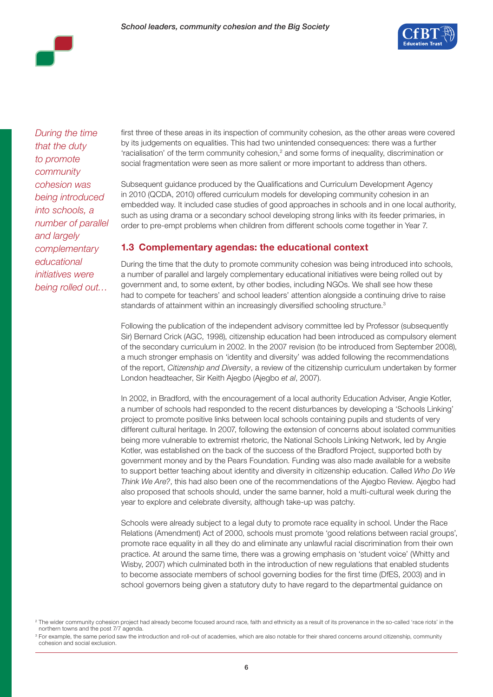

*During the time that the duty to promote community cohesion was being introduced into schools, a number of parallel and largely complementary educational initiatives were being rolled out…* 

first three of these areas in its inspection of community cohesion, as the other areas were covered by its judgements on equalities. This had two unintended consequences: there was a further  $r$ acialisation' of the term community cohesion, $2$  and some forms of inequality, discrimination or social fragmentation were seen as more salient or more important to address than others.

Subsequent guidance produced by the Qualifications and Curriculum Development Agency in 2010 (QCDA, 2010) offered curriculum models for developing community cohesion in an embedded way. It included case studies of good approaches in schools and in one local authority, such as using drama or a secondary school developing strong links with its feeder primaries, in order to pre-empt problems when children from different schools come together in Year 7.

#### **1.3 Complementary agendas: the educational context**

During the time that the duty to promote community cohesion was being introduced into schools, a number of parallel and largely complementary educational initiatives were being rolled out by government and, to some extent, by other bodies, including NGOs. We shall see how these had to compete for teachers' and school leaders' attention alongside a continuing drive to raise standards of attainment within an increasingly diversified schooling structure.<sup>3</sup>

Following the publication of the independent advisory committee led by Professor (subsequently Sir) Bernard Crick (AGC, 1998), citizenship education had been introduced as compulsory element of the secondary curriculum in 2002. In the 2007 revision (to be introduced from September 2008), a much stronger emphasis on 'identity and diversity' was added following the recommendations of the report, *Citizenship and Diversity*, a review of the citizenship curriculum undertaken by former London headteacher, Sir Keith Ajegbo (Ajegbo *et al*, 2007).

In 2002, in Bradford, with the encouragement of a local authority Education Adviser, Angie Kotler, a number of schools had responded to the recent disturbances by developing a 'Schools Linking' project to promote positive links between local schools containing pupils and students of very different cultural heritage. In 2007, following the extension of concerns about isolated communities being more vulnerable to extremist rhetoric, the National Schools Linking Network, led by Angie Kotler, was established on the back of the success of the Bradford Project, supported both by government money and by the Pears Foundation. Funding was also made available for a website to support better teaching about identity and diversity in citizenship education. Called *Who Do We Think We Are?*, this had also been one of the recommendations of the Ajegbo Review. Ajegbo had also proposed that schools should, under the same banner, hold a multi-cultural week during the year to explore and celebrate diversity, although take-up was patchy.

Schools were already subject to a legal duty to promote race equality in school. Under the Race Relations (Amendment) Act of 2000, schools must promote 'good relations between racial groups', promote race equality in all they do and eliminate any unlawful racial discrimination from their own practice. At around the same time, there was a growing emphasis on 'student voice' (Whitty and Wisby, 2007) which culminated both in the introduction of new regulations that enabled students to become associate members of school governing bodies for the first time (DfES, 2003) and in school governors being given a statutory duty to have regard to the departmental guidance on

<sup>&</sup>lt;sup>2</sup> The wider community cohesion project had already become focused around race, faith and ethnicity as a result of its provenance in the so-called 'race riots' in the northern towns and the post 7/7 agenda.

<sup>&</sup>lt;sup>3</sup> For example, the same period saw the introduction and roll-out of academies, which are also notable for their shared concerns around citizenship, community cohesion and social exclusion.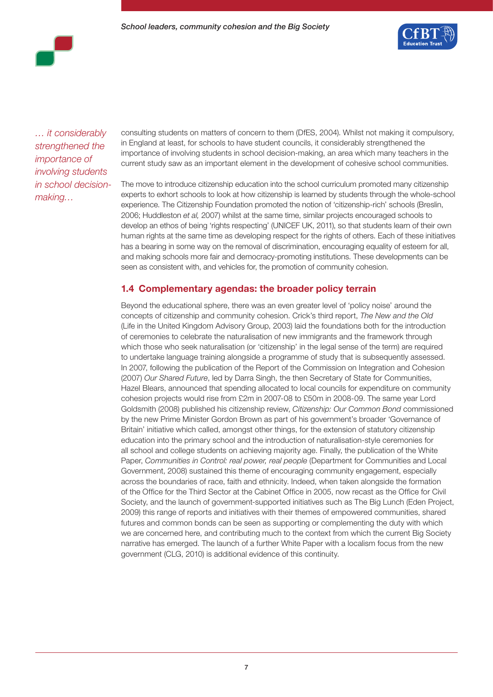

*… it considerably strengthened the importance of involving students in school decisionmaking…*

consulting students on matters of concern to them (DfES, 2004). Whilst not making it compulsory, in England at least, for schools to have student councils, it considerably strengthened the importance of involving students in school decision-making, an area which many teachers in the current study saw as an important element in the development of cohesive school communities.

The move to introduce citizenship education into the school curriculum promoted many citizenship experts to exhort schools to look at how citizenship is learned by students through the whole-school experience. The Citizenship Foundation promoted the notion of 'citizenship-rich' schools (Breslin, 2006; Huddleston *et al,* 2007) whilst at the same time, similar projects encouraged schools to develop an ethos of being 'rights respecting' (UNICEF UK, 2011), so that students learn of their own human rights at the same time as developing respect for the rights of others. Each of these initiatives has a bearing in some way on the removal of discrimination, encouraging equality of esteem for all, and making schools more fair and democracy-promoting institutions. These developments can be seen as consistent with, and vehicles for, the promotion of community cohesion.

#### **1.4 Complementary agendas: the broader policy terrain**

Beyond the educational sphere, there was an even greater level of 'policy noise' around the concepts of citizenship and community cohesion. Crick's third report, *The New and the Old*  (Life in the United Kingdom Advisory Group, 2003) laid the foundations both for the introduction of ceremonies to celebrate the naturalisation of new immigrants and the framework through which those who seek naturalisation (or 'citizenship' in the legal sense of the term) are required to undertake language training alongside a programme of study that is subsequently assessed. In 2007, following the publication of the Report of the Commission on Integration and Cohesion (2007) *Our Shared Future*, led by Darra Singh, the then Secretary of State for Communities, Hazel Blears, announced that spending allocated to local councils for expenditure on community cohesion projects would rise from £2m in 2007-08 to £50m in 2008-09. The same year Lord Goldsmith (2008) published his citizenship review, *Citizenship: Our Common Bond* commissioned by the new Prime Minister Gordon Brown as part of his government's broader 'Governance of Britain' initiative which called, amongst other things, for the extension of statutory citizenship education into the primary school and the introduction of naturalisation-style ceremonies for all school and college students on achieving majority age. Finally, the publication of the White Paper, *Communities in Control: real power, real people* (Department for Communities and Local Government, 2008) sustained this theme of encouraging community engagement, especially across the boundaries of race, faith and ethnicity. Indeed, when taken alongside the formation of the Office for the Third Sector at the Cabinet Office in 2005, now recast as the Office for Civil Society, and the launch of government-supported initiatives such as The Big Lunch (Eden Project, 2009) this range of reports and initiatives with their themes of empowered communities, shared futures and common bonds can be seen as supporting or complementing the duty with which we are concerned here, and contributing much to the context from which the current Big Society narrative has emerged. The launch of a further White Paper with a localism focus from the new government (CLG, 2010) is additional evidence of this continuity.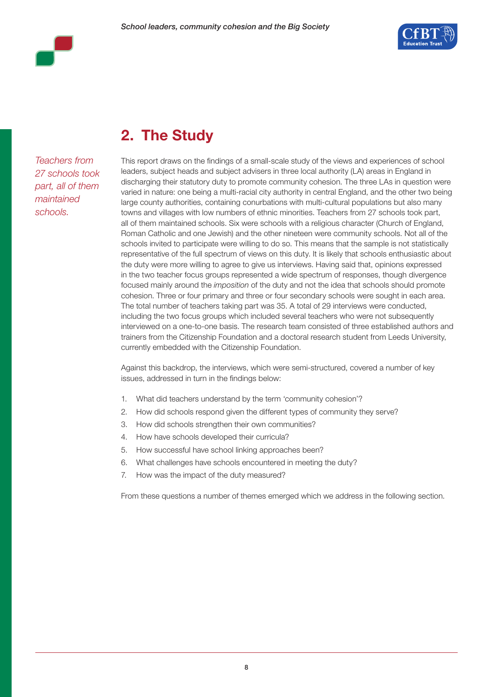





# **2. The Study**

*Teachers from 27 schools took part, all of them maintained schools.*

This report draws on the findings of a small-scale study of the views and experiences of school leaders, subject heads and subject advisers in three local authority (LA) areas in England in discharging their statutory duty to promote community cohesion. The three LAs in question were varied in nature: one being a multi-racial city authority in central England, and the other two being large county authorities, containing conurbations with multi-cultural populations but also many towns and villages with low numbers of ethnic minorities. Teachers from 27 schools took part, all of them maintained schools. Six were schools with a religious character (Church of England, Roman Catholic and one Jewish) and the other nineteen were community schools. Not all of the schools invited to participate were willing to do so. This means that the sample is not statistically representative of the full spectrum of views on this duty. It is likely that schools enthusiastic about the duty were more willing to agree to give us interviews. Having said that, opinions expressed in the two teacher focus groups represented a wide spectrum of responses, though divergence focused mainly around the *imposition* of the duty and not the idea that schools should promote cohesion. Three or four primary and three or four secondary schools were sought in each area. The total number of teachers taking part was 35. A total of 29 interviews were conducted, including the two focus groups which included several teachers who were not subsequently interviewed on a one-to-one basis. The research team consisted of three established authors and trainers from the Citizenship Foundation and a doctoral research student from Leeds University, currently embedded with the Citizenship Foundation.

Against this backdrop, the interviews, which were semi-structured, covered a number of key issues, addressed in turn in the findings below:

- 1. What did teachers understand by the term 'community cohesion'?
- 2. How did schools respond given the different types of community they serve?
- 3. How did schools strengthen their own communities?
- 4. How have schools developed their curricula?
- 5. How successful have school linking approaches been?
- 6. What challenges have schools encountered in meeting the duty?
- 7. How was the impact of the duty measured?

From these questions a number of themes emerged which we address in the following section.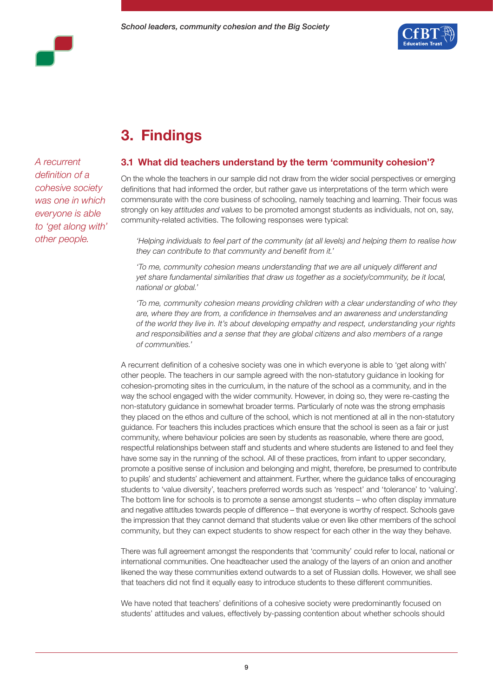



# **3. Findings**

*A recurrent definition of a cohesive society was one in which everyone is able to 'get along with' other people.*

#### **3.1 What did teachers understand by the term 'community cohesion'?**

On the whole the teachers in our sample did not draw from the wider social perspectives or emerging definitions that had informed the order, but rather gave us interpretations of the term which were commensurate with the core business of schooling, namely teaching and learning. Their focus was strongly on key *attitudes and values* to be promoted amongst students as individuals, not on, say, community-related activities. The following responses were typical:

*'Helping individuals to feel part of the community (at all levels) and helping them to realise how they can contribute to that community and benefit from it.'* 

*'To me, community cohesion means understanding that we are all uniquely different and yet share fundamental similarities that draw us together as a society/community, be it local, national or global.'* 

*'To me, community cohesion means providing children with a clear understanding of who they are, where they are from, a confidence in themselves and an awareness and understanding of the world they live in. It's about developing empathy and respect, understanding your rights and responsibilities and a sense that they are global citizens and also members of a range of communities.'* 

A recurrent definition of a cohesive society was one in which everyone is able to 'get along with' other people. The teachers in our sample agreed with the non-statutory guidance in looking for cohesion-promoting sites in the curriculum, in the nature of the school as a community, and in the way the school engaged with the wider community. However, in doing so, they were re-casting the non-statutory guidance in somewhat broader terms. Particularly of note was the strong emphasis they placed on the ethos and culture of the school, which is not mentioned at all in the non-statutory guidance. For teachers this includes practices which ensure that the school is seen as a fair or just community, where behaviour policies are seen by students as reasonable, where there are good, respectful relationships between staff and students and where students are listened to and feel they have some say in the running of the school. All of these practices, from infant to upper secondary, promote a positive sense of inclusion and belonging and might, therefore, be presumed to contribute to pupils' and students' achievement and attainment. Further, where the guidance talks of encouraging students to 'value diversity', teachers preferred words such as 'respect' and 'tolerance' to 'valuing'. The bottom line for schools is to promote a sense amongst students – who often display immature and negative attitudes towards people of difference – that everyone is worthy of respect. Schools gave the impression that they cannot demand that students value or even like other members of the school community, but they can expect students to show respect for each other in the way they behave.

There was full agreement amongst the respondents that 'community' could refer to local, national or international communities. One headteacher used the analogy of the layers of an onion and another likened the way these communities extend outwards to a set of Russian dolls. However, we shall see that teachers did not find it equally easy to introduce students to these different communities.

We have noted that teachers' definitions of a cohesive society were predominantly focused on students' attitudes and values, effectively by-passing contention about whether schools should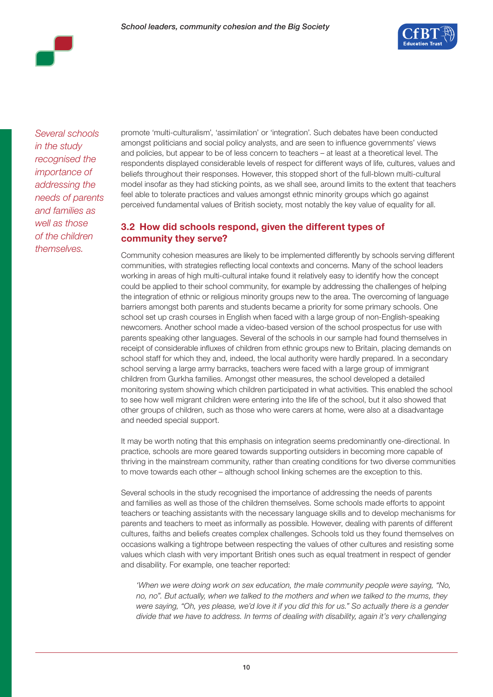

*Several schools in the study recognised the importance of addressing the needs of parents and families as well as those of the children themselves.* 

promote 'multi-culturalism', 'assimilation' or 'integration'. Such debates have been conducted amongst politicians and social policy analysts, and are seen to influence governments' views and policies, but appear to be of less concern to teachers – at least at a theoretical level. The respondents displayed considerable levels of respect for different ways of life, cultures, values and beliefs throughout their responses. However, this stopped short of the full-blown multi-cultural model insofar as they had sticking points, as we shall see, around limits to the extent that teachers feel able to tolerate practices and values amongst ethnic minority groups which go against perceived fundamental values of British society, most notably the key value of equality for all.

### **3.2 How did schools respond, given the different types of community they serve?**

Community cohesion measures are likely to be implemented differently by schools serving different communities, with strategies reflecting local contexts and concerns. Many of the school leaders working in areas of high multi-cultural intake found it relatively easy to identify how the concept could be applied to their school community, for example by addressing the challenges of helping the integration of ethnic or religious minority groups new to the area. The overcoming of language barriers amongst both parents and students became a priority for some primary schools. One school set up crash courses in English when faced with a large group of non-English-speaking newcomers. Another school made a video-based version of the school prospectus for use with parents speaking other languages. Several of the schools in our sample had found themselves in receipt of considerable influxes of children from ethnic groups new to Britain, placing demands on school staff for which they and, indeed, the local authority were hardly prepared. In a secondary school serving a large army barracks, teachers were faced with a large group of immigrant children from Gurkha families. Amongst other measures, the school developed a detailed monitoring system showing which children participated in what activities. This enabled the school to see how well migrant children were entering into the life of the school, but it also showed that other groups of children, such as those who were carers at home, were also at a disadvantage and needed special support.

It may be worth noting that this emphasis on integration seems predominantly one-directional. In practice, schools are more geared towards supporting outsiders in becoming more capable of thriving in the mainstream community, rather than creating conditions for two diverse communities to move towards each other – although school linking schemes are the exception to this.

Several schools in the study recognised the importance of addressing the needs of parents and families as well as those of the children themselves. Some schools made efforts to appoint teachers or teaching assistants with the necessary language skills and to develop mechanisms for parents and teachers to meet as informally as possible. However, dealing with parents of different cultures, faiths and beliefs creates complex challenges. Schools told us they found themselves on occasions walking a tightrope between respecting the values of other cultures and resisting some values which clash with very important British ones such as equal treatment in respect of gender and disability. For example, one teacher reported:

*'When we were doing work on sex education, the male community people were saying, "No, no, no". But actually, when we talked to the mothers and when we talked to the mums, they*  were saying, "Oh, yes please, we'd love it if you did this for us." So actually there is a gender *divide that we have to address. In terms of dealing with disability, again it's very challenging*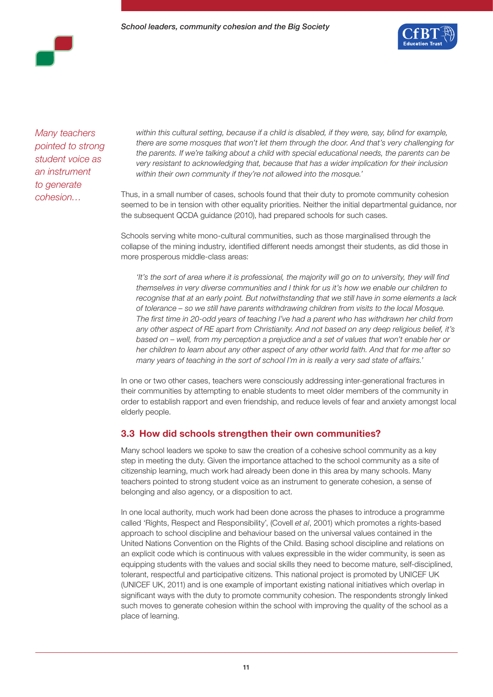

*Many teachers pointed to strong student voice as an instrument to generate cohesion…*

within this cultural setting, because if a child is disabled, if they were, say, blind for example, *there are some mosques that won't let them through the door. And that's very challenging for the parents. If we're talking about a child with special educational needs, the parents can be very resistant to acknowledging that, because that has a wider implication for their inclusion within their own community if they're not allowed into the mosque.'*

Thus, in a small number of cases, schools found that their duty to promote community cohesion seemed to be in tension with other equality priorities. Neither the initial departmental guidance, nor the subsequent QCDA guidance (2010), had prepared schools for such cases.

Schools serving white mono-cultural communities, such as those marginalised through the collapse of the mining industry, identified different needs amongst their students, as did those in more prosperous middle-class areas:

*'It's the sort of area where it is professional, the majority will go on to university, they will find themselves in very diverse communities and I think for us it's how we enable our children to recognise that at an early point. But notwithstanding that we still have in some elements a lack of tolerance – so we still have parents withdrawing children from visits to the local Mosque. The first time in 20-odd years of teaching I've had a parent who has withdrawn her child from any other aspect of RE apart from Christianity. And not based on any deep religious belief, it's based on – well, from my perception a prejudice and a set of values that won't enable her or her children to learn about any other aspect of any other world faith. And that for me after so many years of teaching in the sort of school I'm in is really a very sad state of affairs.'*

In one or two other cases, teachers were consciously addressing inter-generational fractures in their communities by attempting to enable students to meet older members of the community in order to establish rapport and even friendship, and reduce levels of fear and anxiety amongst local elderly people.

#### **3.3 How did schools strengthen their own communities?**

Many school leaders we spoke to saw the creation of a cohesive school community as a key step in meeting the duty. Given the importance attached to the school community as a site of citizenship learning, much work had already been done in this area by many schools. Many teachers pointed to strong student voice as an instrument to generate cohesion, a sense of belonging and also agency, or a disposition to act.

In one local authority, much work had been done across the phases to introduce a programme called 'Rights, Respect and Responsibility', (Covell *et al*, 2001) which promotes a rights-based approach to school discipline and behaviour based on the universal values contained in the United Nations Convention on the Rights of the Child. Basing school discipline and relations on an explicit code which is continuous with values expressible in the wider community, is seen as equipping students with the values and social skills they need to become mature, self-disciplined, tolerant, respectful and participative citizens. This national project is promoted by UNICEF UK (UNICEF UK, 2011) and is one example of important existing national initiatives which overlap in significant ways with the duty to promote community cohesion. The respondents strongly linked such moves to generate cohesion within the school with improving the quality of the school as a place of learning.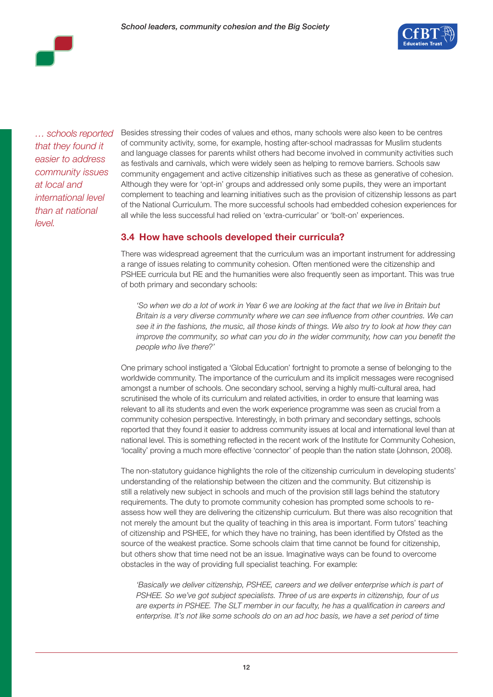

*… schools reported that they found it easier to address community issues at local and international level than at national level.*

Besides stressing their codes of values and ethos, many schools were also keen to be centres of community activity, some, for example, hosting after-school madrassas for Muslim students and language classes for parents whilst others had become involved in community activities such as festivals and carnivals, which were widely seen as helping to remove barriers. Schools saw community engagement and active citizenship initiatives such as these as generative of cohesion. Although they were for 'opt-in' groups and addressed only some pupils, they were an important complement to teaching and learning initiatives such as the provision of citizenship lessons as part of the National Curriculum. The more successful schools had embedded cohesion experiences for all while the less successful had relied on 'extra-curricular' or 'bolt-on' experiences.

### **3.4 How have schools developed their curricula?**

There was widespread agreement that the curriculum was an important instrument for addressing a range of issues relating to community cohesion. Often mentioned were the citizenship and PSHEE curricula but RE and the humanities were also frequently seen as important. This was true of both primary and secondary schools:

*'So when we do a lot of work in Year 6 we are looking at the fact that we live in Britain but Britain is a very diverse community where we can see influence from other countries. We can see it in the fashions, the music, all those kinds of things. We also try to look at how they can improve the community, so what can you do in the wider community, how can you benefit the people who live there?'*

One primary school instigated a 'Global Education' fortnight to promote a sense of belonging to the worldwide community. The importance of the curriculum and its implicit messages were recognised amongst a number of schools. One secondary school, serving a highly multi-cultural area, had scrutinised the whole of its curriculum and related activities, in order to ensure that learning was relevant to all its students and even the work experience programme was seen as crucial from a community cohesion perspective. Interestingly, in both primary and secondary settings, schools reported that they found it easier to address community issues at local and international level than at national level. This is something reflected in the recent work of the Institute for Community Cohesion, 'locality' proving a much more effective 'connector' of people than the nation state (Johnson, 2008).

The non-statutory guidance highlights the role of the citizenship curriculum in developing students' understanding of the relationship between the citizen and the community. But citizenship is still a relatively new subject in schools and much of the provision still lags behind the statutory requirements. The duty to promote community cohesion has prompted some schools to reassess how well they are delivering the citizenship curriculum. But there was also recognition that not merely the amount but the quality of teaching in this area is important. Form tutors' teaching of citizenship and PSHEE, for which they have no training, has been identified by Ofsted as the source of the weakest practice. Some schools claim that time cannot be found for citizenship, but others show that time need not be an issue. Imaginative ways can be found to overcome obstacles in the way of providing full specialist teaching. For example:

*'Basically we deliver citizenship, PSHEE, careers and we deliver enterprise which is part of PSHEE. So we've got subject specialists. Three of us are experts in citizenship, four of us are experts in PSHEE. The SLT member in our faculty, he has a qualification in careers and*  enterprise. It's not like some schools do on an ad hoc basis, we have a set period of time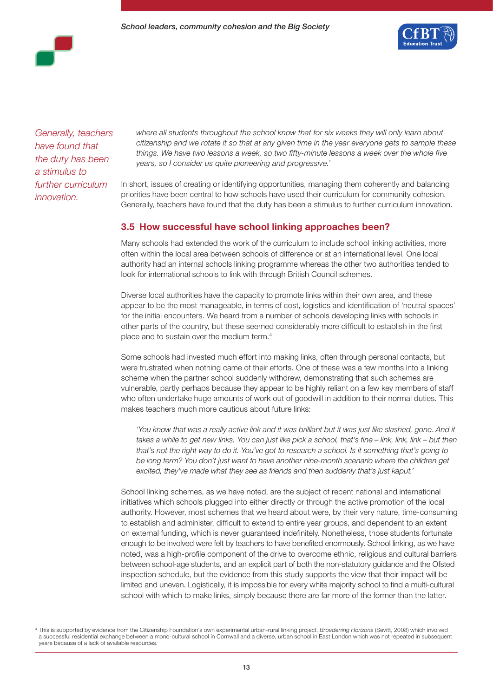

*Generally, teachers have found that the duty has been a stimulus to further curriculum* 

*innovation.* 

*where all students throughout the school know that for six weeks they will only learn about citizenship and we rotate it so that at any given time in the year everyone gets to sample these things. We have two lessons a week, so two fifty-minute lessons a week over the whole five years, so I consider us quite pioneering and progressive.'*

In short, issues of creating or identifying opportunities, managing them coherently and balancing priorities have been central to how schools have used their curriculum for community cohesion. Generally, teachers have found that the duty has been a stimulus to further curriculum innovation.

#### **3.5 How successful have school linking approaches been?**

Many schools had extended the work of the curriculum to include school linking activities, more often within the local area between schools of difference or at an international level. One local authority had an internal schools linking programme whereas the other two authorities tended to look for international schools to link with through British Council schemes.

Diverse local authorities have the capacity to promote links within their own area, and these appear to be the most manageable, in terms of cost, logistics and identification of 'neutral spaces' for the initial encounters. We heard from a number of schools developing links with schools in other parts of the country, but these seemed considerably more difficult to establish in the first place and to sustain over the medium term.4

Some schools had invested much effort into making links, often through personal contacts, but were frustrated when nothing came of their efforts. One of these was a few months into a linking scheme when the partner school suddenly withdrew, demonstrating that such schemes are vulnerable, partly perhaps because they appear to be highly reliant on a few key members of staff who often undertake huge amounts of work out of goodwill in addition to their normal duties. This makes teachers much more cautious about future links:

'You know that was a really active link and it was brilliant but it was just like slashed, gone. And it *takes a while to get new links. You can just like pick a school, that's fine – link, link, link – but then that's not the right way to do it. You've got to research a school. Is it something that's going to*  be long term? You don't just want to have another nine-month scenario where the children get *excited, they've made what they see as friends and then suddenly that's just kaput.'*

School linking schemes, as we have noted, are the subject of recent national and international initiatives which schools plugged into either directly or through the active promotion of the local authority. However, most schemes that we heard about were, by their very nature, time-consuming to establish and administer, difficult to extend to entire year groups, and dependent to an extent on external funding, which is never guaranteed indefinitely. Nonetheless, those students fortunate enough to be involved were felt by teachers to have benefited enormously. School linking, as we have noted, was a high-profile component of the drive to overcome ethnic, religious and cultural barriers between school-age students, and an explicit part of both the non-statutory guidance and the Ofsted inspection schedule, but the evidence from this study supports the view that their impact will be limited and uneven. Logistically, it is impossible for every white majority school to find a multi-cultural school with which to make links, simply because there are far more of the former than the latter.

<sup>4</sup> This is supported by evidence from the Citizenship Foundation's own experimental urban-rural linking project, *Broadening Horizons* (Sevitt, 2008) which involved a successful residential exchange between a mono-cultural school in Cornwall and a diverse, urban school in East London which was not repeated in subsequent years because of a lack of available resources.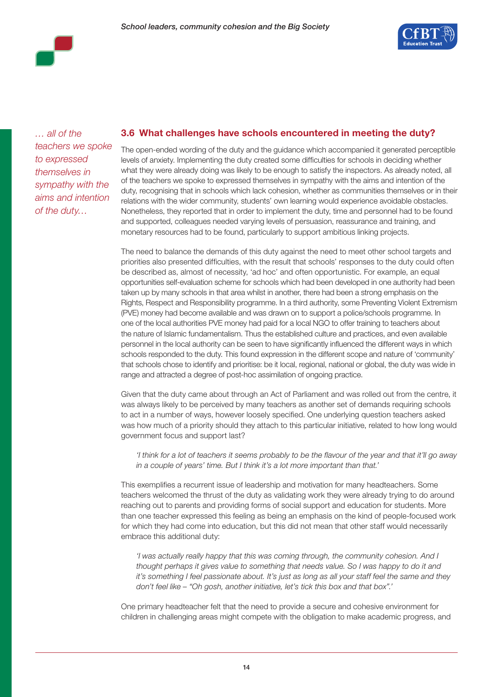

*… all of the teachers we spoke to expressed themselves in sympathy with the aims and intention of the duty…*

### **3.6 What challenges have schools encountered in meeting the duty?**

The open-ended wording of the duty and the guidance which accompanied it generated perceptible levels of anxiety. Implementing the duty created some difficulties for schools in deciding whether what they were already doing was likely to be enough to satisfy the inspectors. As already noted, all of the teachers we spoke to expressed themselves in sympathy with the aims and intention of the duty, recognising that in schools which lack cohesion, whether as communities themselves or in their relations with the wider community, students' own learning would experience avoidable obstacles. Nonetheless, they reported that in order to implement the duty, time and personnel had to be found and supported, colleagues needed varying levels of persuasion, reassurance and training, and monetary resources had to be found, particularly to support ambitious linking projects.

The need to balance the demands of this duty against the need to meet other school targets and priorities also presented difficulties, with the result that schools' responses to the duty could often be described as, almost of necessity, 'ad hoc' and often opportunistic. For example, an equal opportunities self-evaluation scheme for schools which had been developed in one authority had been taken up by many schools in that area whilst in another, there had been a strong emphasis on the Rights, Respect and Responsibility programme. In a third authority, some Preventing Violent Extremism (PVE) money had become available and was drawn on to support a police/schools programme. In one of the local authorities PVE money had paid for a local NGO to offer training to teachers about the nature of Islamic fundamentalism. Thus the established culture and practices, and even available personnel in the local authority can be seen to have significantly influenced the different ways in which schools responded to the duty. This found expression in the different scope and nature of 'community' that schools chose to identify and prioritise: be it local, regional, national or global, the duty was wide in range and attracted a degree of post-hoc assimilation of ongoing practice.

Given that the duty came about through an Act of Parliament and was rolled out from the centre, it was always likely to be perceived by many teachers as another set of demands requiring schools to act in a number of ways, however loosely specified. One underlying question teachers asked was how much of a priority should they attach to this particular initiative, related to how long would government focus and support last?

*'I think for a lot of teachers it seems probably to be the flavour of the year and that it'll go away in a couple of years' time. But I think it's a lot more important than that.'*

This exemplifies a recurrent issue of leadership and motivation for many headteachers. Some teachers welcomed the thrust of the duty as validating work they were already trying to do around reaching out to parents and providing forms of social support and education for students. More than one teacher expressed this feeling as being an emphasis on the kind of people-focused work for which they had come into education, but this did not mean that other staff would necessarily embrace this additional duty:

*'I was actually really happy that this was coming through, the community cohesion. And I*  thought perhaps it gives value to something that needs value. So I was happy to do it and *it's something I feel passionate about. It's just as long as all your staff feel the same and they don't feel like – "Oh gosh, another initiative, let's tick this box and that box".'*

One primary headteacher felt that the need to provide a secure and cohesive environment for children in challenging areas might compete with the obligation to make academic progress, and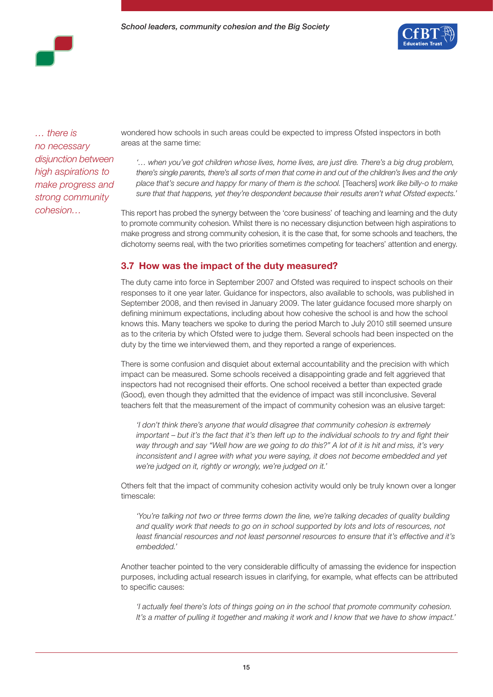

*… there is no necessary disjunction between high aspirations to make progress and strong community cohesion…*

wondered how schools in such areas could be expected to impress Ofsted inspectors in both areas at the same time:

*'… when you've got children whose lives, home lives, are just dire. There's a big drug problem, there's single parents, there's all sorts of men that come in and out of the children's lives and the only place that's secure and happy for many of them is the school.* [Teachers] *work like billy-o to make sure that that happens, yet they're despondent because their results aren't what Ofsted expects.'*

This report has probed the synergy between the 'core business' of teaching and learning and the duty to promote community cohesion. Whilst there is no necessary disjunction between high aspirations to make progress and strong community cohesion, it is the case that, for some schools and teachers, the dichotomy seems real, with the two priorities sometimes competing for teachers' attention and energy.

#### **3.7 How was the impact of the duty measured?**

The duty came into force in September 2007 and Ofsted was required to inspect schools on their responses to it one year later. Guidance for inspectors, also available to schools, was published in September 2008, and then revised in January 2009. The later guidance focused more sharply on defining minimum expectations, including about how cohesive the school is and how the school knows this. Many teachers we spoke to during the period March to July 2010 still seemed unsure as to the criteria by which Ofsted were to judge them. Several schools had been inspected on the duty by the time we interviewed them, and they reported a range of experiences.

There is some confusion and disquiet about external accountability and the precision with which impact can be measured. Some schools received a disappointing grade and felt aggrieved that inspectors had not recognised their efforts. One school received a better than expected grade (Good), even though they admitted that the evidence of impact was still inconclusive. Several teachers felt that the measurement of the impact of community cohesion was an elusive target:

*'I don't think there's anyone that would disagree that community cohesion is extremely important – but it's the fact that it's then left up to the individual schools to try and fight their way through and say "Well how are we going to do this?" A lot of it is hit and miss, it's very*  inconsistent and I agree with what you were saying, it does not become embedded and yet *we're judged on it, rightly or wrongly, we're judged on it.'*

Others felt that the impact of community cohesion activity would only be truly known over a longer timescale:

*'You're talking not two or three terms down the line, we're talking decades of quality building*  and quality work that needs to go on in school supported by lots and lots of resources, not least financial resources and not least personnel resources to ensure that it's effective and it's *embedded.'*

Another teacher pointed to the very considerable difficulty of amassing the evidence for inspection purposes, including actual research issues in clarifying, for example, what effects can be attributed to specific causes:

*'I actually feel there's lots of things going on in the school that promote community cohesion. It's a matter of pulling it together and making it work and I know that we have to show impact.'*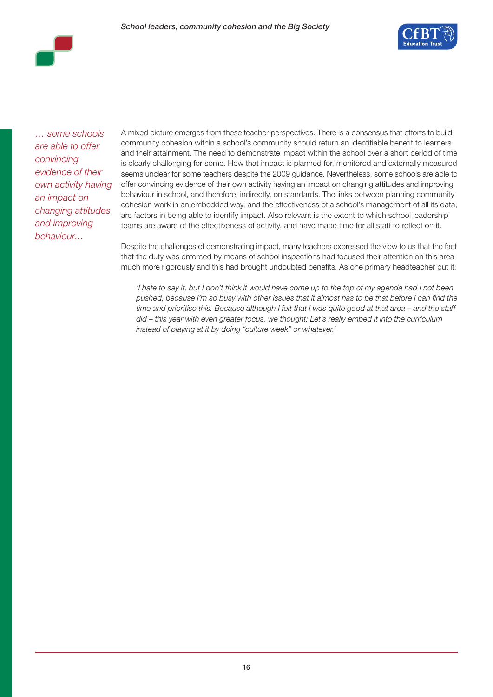

*… some schools are able to offer convincing evidence of their own activity having an impact on changing attitudes and improving behaviour…*

A mixed picture emerges from these teacher perspectives. There is a consensus that efforts to build community cohesion within a school's community should return an identifiable benefit to learners and their attainment. The need to demonstrate impact within the school over a short period of time is clearly challenging for some. How that impact is planned for, monitored and externally measured seems unclear for some teachers despite the 2009 guidance. Nevertheless, some schools are able to offer convincing evidence of their own activity having an impact on changing attitudes and improving behaviour in school, and therefore, indirectly, on standards. The links between planning community cohesion work in an embedded way, and the effectiveness of a school's management of all its data, are factors in being able to identify impact. Also relevant is the extent to which school leadership teams are aware of the effectiveness of activity, and have made time for all staff to reflect on it.

Despite the challenges of demonstrating impact, many teachers expressed the view to us that the fact that the duty was enforced by means of school inspections had focused their attention on this area much more rigorously and this had brought undoubted benefits. As one primary headteacher put it:

*'I hate to say it, but I don't think it would have come up to the top of my agenda had I not been pushed, because I'm so busy with other issues that it almost has to be that before I can find the time and prioritise this. Because although I felt that I was quite good at that area – and the staff did – this year with even greater focus, we thought: Let's really embed it into the curriculum instead of playing at it by doing "culture week" or whatever.'*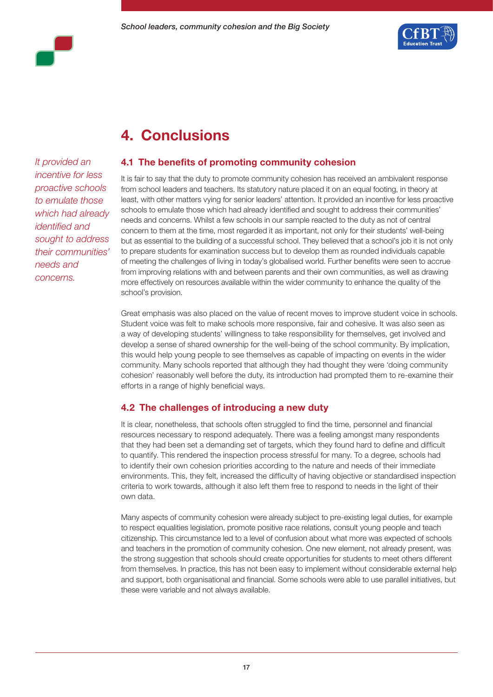

## **4. Conclusions**

*It provided an incentive for less proactive schools to emulate those which had already identified and sought to address their communities' needs and concerns.*

### **4.1 The benefits of promoting community cohesion**

It is fair to say that the duty to promote community cohesion has received an ambivalent response from school leaders and teachers. Its statutory nature placed it on an equal footing, in theory at least, with other matters vying for senior leaders' attention. It provided an incentive for less proactive schools to emulate those which had already identified and sought to address their communities' needs and concerns. Whilst a few schools in our sample reacted to the duty as not of central concern to them at the time, most regarded it as important, not only for their students' well-being but as essential to the building of a successful school. They believed that a school's job it is not only to prepare students for examination success but to develop them as rounded individuals capable of meeting the challenges of living in today's globalised world. Further benefits were seen to accrue from improving relations with and between parents and their own communities, as well as drawing more effectively on resources available within the wider community to enhance the quality of the school's provision.

Great emphasis was also placed on the value of recent moves to improve student voice in schools. Student voice was felt to make schools more responsive, fair and cohesive. It was also seen as a way of developing students' willingness to take responsibility for themselves, get involved and develop a sense of shared ownership for the well-being of the school community. By implication, this would help young people to see themselves as capable of impacting on events in the wider community. Many schools reported that although they had thought they were 'doing community cohesion' reasonably well before the duty, its introduction had prompted them to re-examine their efforts in a range of highly beneficial ways.

#### **4.2 The challenges of introducing a new duty**

It is clear, nonetheless, that schools often struggled to find the time, personnel and financial resources necessary to respond adequately. There was a feeling amongst many respondents that they had been set a demanding set of targets, which they found hard to define and difficult to quantify. This rendered the inspection process stressful for many. To a degree, schools had to identify their own cohesion priorities according to the nature and needs of their immediate environments. This, they felt, increased the difficulty of having objective or standardised inspection criteria to work towards, although it also left them free to respond to needs in the light of their own data.

Many aspects of community cohesion were already subject to pre-existing legal duties, for example to respect equalities legislation, promote positive race relations, consult young people and teach citizenship. This circumstance led to a level of confusion about what more was expected of schools and teachers in the promotion of community cohesion. One new element, not already present, was the strong suggestion that schools should create opportunities for students to meet others different from themselves. In practice, this has not been easy to implement without considerable external help and support, both organisational and financial. Some schools were able to use parallel initiatives, but these were variable and not always available.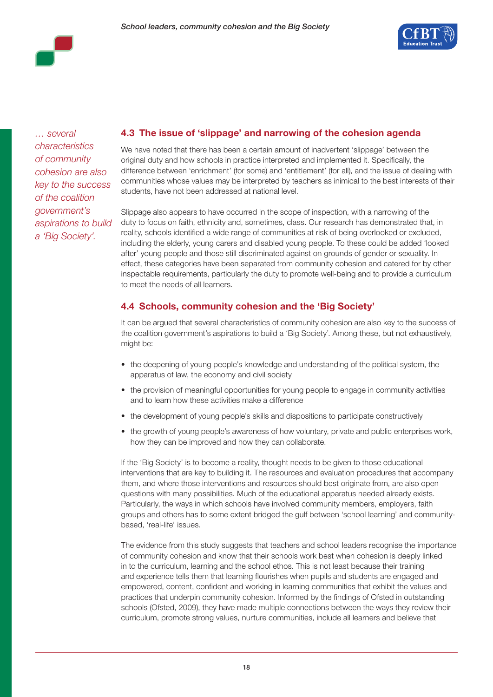

*… several characteristics of community cohesion are also key to the success of the coalition government's aspirations to build a 'Big Society'.*

### **4.3 The issue of 'slippage' and narrowing of the cohesion agenda**

We have noted that there has been a certain amount of inadvertent 'slippage' between the original duty and how schools in practice interpreted and implemented it. Specifically, the difference between 'enrichment' (for some) and 'entitlement' (for all), and the issue of dealing with communities whose values may be interpreted by teachers as inimical to the best interests of their students, have not been addressed at national level.

Slippage also appears to have occurred in the scope of inspection, with a narrowing of the duty to focus on faith, ethnicity and, sometimes, class. Our research has demonstrated that, in reality, schools identified a wide range of communities at risk of being overlooked or excluded, including the elderly, young carers and disabled young people. To these could be added 'looked after' young people and those still discriminated against on grounds of gender or sexuality. In effect, these categories have been separated from community cohesion and catered for by other inspectable requirements, particularly the duty to promote well-being and to provide a curriculum to meet the needs of all learners.

### **4.4 Schools, community cohesion and the 'Big Society'**

It can be argued that several characteristics of community cohesion are also key to the success of the coalition government's aspirations to build a 'Big Society'. Among these, but not exhaustively, might be:

- the deepening of young people's knowledge and understanding of the political system, the apparatus of law, the economy and civil society
- the provision of meaningful opportunities for young people to engage in community activities and to learn how these activities make a difference
- the development of young people's skills and dispositions to participate constructively
- the growth of young people's awareness of how voluntary, private and public enterprises work, how they can be improved and how they can collaborate.

If the 'Big Society' is to become a reality, thought needs to be given to those educational interventions that are key to building it. The resources and evaluation procedures that accompany them, and where those interventions and resources should best originate from, are also open questions with many possibilities. Much of the educational apparatus needed already exists. Particularly, the ways in which schools have involved community members, employers, faith groups and others has to some extent bridged the gulf between 'school learning' and communitybased, 'real-life' issues.

The evidence from this study suggests that teachers and school leaders recognise the importance of community cohesion and know that their schools work best when cohesion is deeply linked in to the curriculum, learning and the school ethos. This is not least because their training and experience tells them that learning flourishes when pupils and students are engaged and empowered, content, confident and working in learning communities that exhibit the values and practices that underpin community cohesion. Informed by the findings of Ofsted in outstanding schools (Ofsted, 2009), they have made multiple connections between the ways they review their curriculum, promote strong values, nurture communities, include all learners and believe that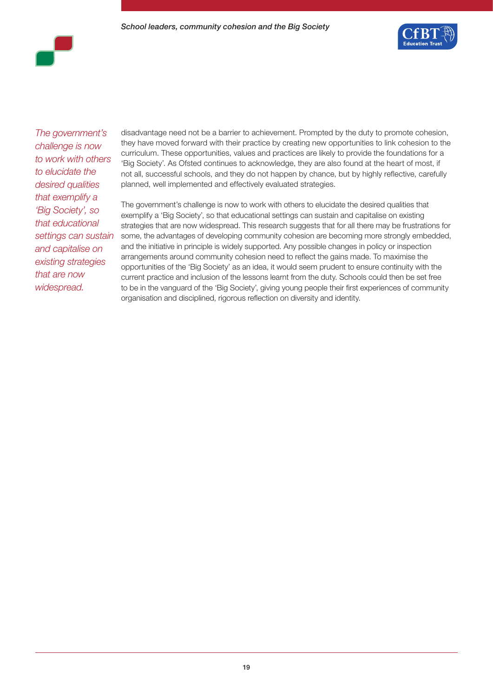

*The government's challenge is now to work with others to elucidate the desired qualities that exemplify a 'Big Society', so that educational settings can sustain and capitalise on existing strategies that are now widespread.* 

disadvantage need not be a barrier to achievement. Prompted by the duty to promote cohesion, they have moved forward with their practice by creating new opportunities to link cohesion to the curriculum. These opportunities, values and practices are likely to provide the foundations for a 'Big Society'. As Ofsted continues to acknowledge, they are also found at the heart of most, if not all, successful schools, and they do not happen by chance, but by highly reflective, carefully planned, well implemented and effectively evaluated strategies.

The government's challenge is now to work with others to elucidate the desired qualities that exemplify a 'Big Society', so that educational settings can sustain and capitalise on existing strategies that are now widespread. This research suggests that for all there may be frustrations for some, the advantages of developing community cohesion are becoming more strongly embedded, and the initiative in principle is widely supported. Any possible changes in policy or inspection arrangements around community cohesion need to reflect the gains made. To maximise the opportunities of the 'Big Society' as an idea, it would seem prudent to ensure continuity with the current practice and inclusion of the lessons learnt from the duty. Schools could then be set free to be in the vanguard of the 'Big Society', giving young people their first experiences of community organisation and disciplined, rigorous reflection on diversity and identity.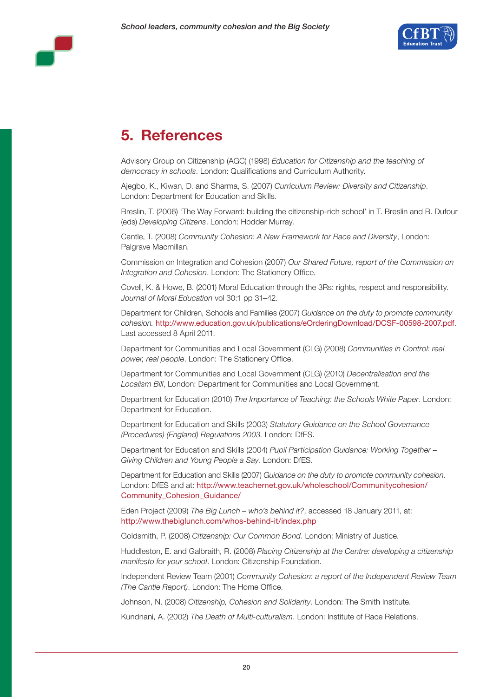



### **5. References**

Advisory Group on Citizenship (AGC) (1998) *Education for Citizenship and the teaching of democracy in schools*. London: Qualifications and Curriculum Authority.

Ajegbo, K., Kiwan, D. and Sharma, S. (2007) *Curriculum Review: Diversity and Citizenship*. London: Department for Education and Skills.

Breslin, T. (2006) 'The Way Forward: building the citizenship-rich school' in T. Breslin and B. Dufour (eds) *Developing Citizens*. London: Hodder Murray.

Cantle, T. (2008) *Community Cohesion: A New Framework for Race and Diversity*, London: Palgrave Macmillan.

Commission on Integration and Cohesion (2007) *Our Shared Future, report of the Commission on Integration and Cohesion*. London: The Stationery Office.

Covell, K. & Howe, B. (2001) Moral Education through the 3Rs: rights, respect and responsibility. *Journal of Moral Education* vol 30:1 pp 31–42.

Department for Children, Schools and Families (2007) *Guidance on the duty to promote community cohesion.* http://www.education.gov.uk/publications/eOrderingDownload/DCSF-00598-2007.pdf. Last accessed 8 April 2011.

Department for Communities and Local Government (CLG) (2008) *Communities in Control: real power, real people*. London: The Stationery Office.

Department for Communities and Local Government (CLG) (2010) *Decentralisation and the Localism Bill*, London: Department for Communities and Local Government.

Department for Education (2010) *The Importance of Teaching: the Schools White Paper*. London: Department for Education.

Department for Education and Skills (2003) *Statutory Guidance on the School Governance (Procedures) (England) Regulations 2003.* London: DfES.

Department for Education and Skills (2004) *Pupil Participation Guidance: Working Together – Giving Children and Young People a Say*. London: DfES.

Department for Education and Skills (2007) *Guidance on the duty to promote community cohesion*. London: DfES and at: http://www.teachernet.gov.uk/wholeschool/Communitycohesion/ Community\_Cohesion\_Guidance/

Eden Project (2009) *The Big Lunch – who's behind it?*, accessed 18 January 2011, at: http://www.thebiglunch.com/whos-behind-it/index.php

Goldsmith, P. (2008) *Citizenship: Our Common Bond*. London: Ministry of Justice.

Huddleston, E. and Galbraith, R. (2008) *Placing Citizenship at the Centre: developing a citizenship manifesto for your school*. London: Citizenship Foundation.

Independent Review Team (2001) *Community Cohesion: a report of the Independent Review Team (The Cantle Report)*. London: The Home Office.

Johnson, N. (2008) *Citizenship, Cohesion and Solidarity*. London: The Smith Institute.

Kundnani, A. (2002) *The Death of Multi-culturalism*. London: Institute of Race Relations.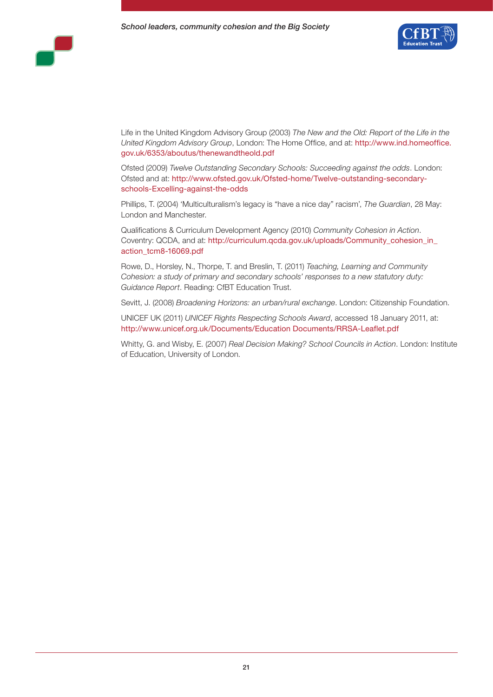



Life in the United Kingdom Advisory Group (2003) *The New and the Old: Report of the Life in the United Kingdom Advisory Group*, London: The Home Office, and at: http://www.ind.homeoffice. gov.uk/6353/aboutus/thenewandtheold.pdf

Ofsted (2009) *Twelve Outstanding Secondary Schools: Succeeding against the odds*. London: Ofsted and at: http://www.ofsted.gov.uk/Ofsted-home/Twelve-outstanding-secondaryschools-Excelling-against-the-odds

Phillips, T. (2004) 'Multiculturalism's legacy is "have a nice day" racism', *The Guardian*, 28 May: London and Manchester.

Qualifications & Curriculum Development Agency (2010) *Community Cohesion in Action*. Coventry: QCDA, and at: http://curriculum.qcda.gov.uk/uploads/Community\_cohesion\_in\_ action\_tcm8-16069.pdf

Rowe, D., Horsley, N., Thorpe, T. and Breslin, T. (2011) *Teaching, Learning and Community Cohesion: a study of primary and secondary schools' responses to a new statutory duty: Guidance Report*. Reading: CfBT Education Trust.

Sevitt, J. (2008) *Broadening Horizons: an urban/rural exchange*. London: Citizenship Foundation.

UNICEF UK (2011) *UNICEF Rights Respecting Schools Award*, accessed 18 January 2011, at: http://www.unicef.org.uk/Documents/Education Documents/RRSA-Leaflet.pdf

Whitty, G. and Wisby, E. (2007) *Real Decision Making? School Councils in Action*. London: Institute of Education, University of London.